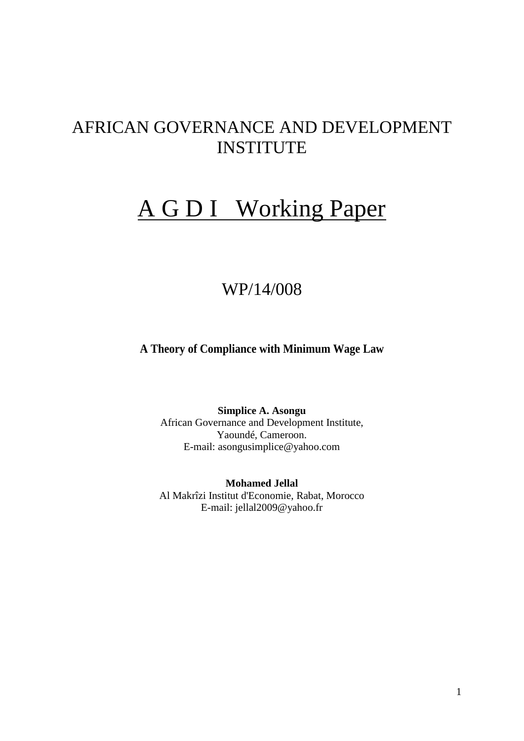# AFRICAN GOVERNANCE AND DEVELOPMENT **INSTITUTE**

# A G D I Working Paper

# WP/14/008

**A Theory of Compliance with Minimum Wage Law**

**Simplice A. Asongu** African Governance and Development Institute, Yaoundé, Cameroon. E-mail: asongusimplice@yahoo.com

**Mohamed Jellal** Al Makrîzi Institut d'Economie, Rabat, Morocco E-mail: jellal2009@yahoo.fr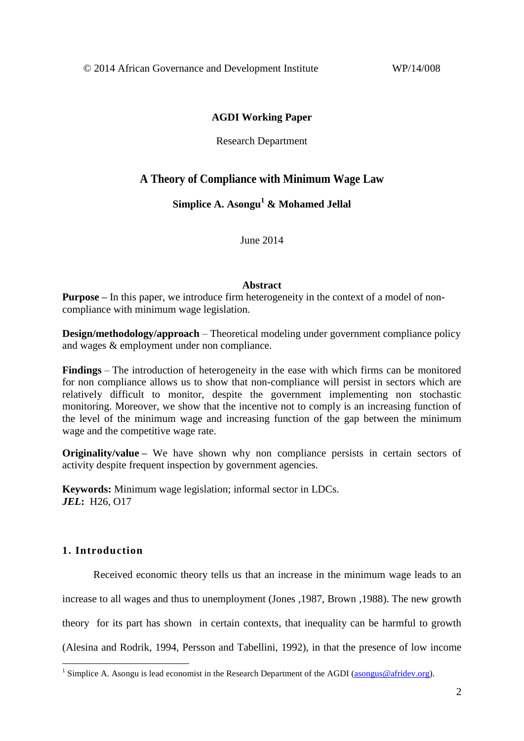© 2014 African Governance and Development Institute WP/14/008

### **AGDI Working Paper**

Research Department

## **A Theory of Compliance with Minimum Wage Law**

**Simplice A. Asongu<sup>1</sup> & Mohamed Jellal**

June 2014

#### **Abstract**

**Purpose** – In this paper, we introduce firm heterogeneity in the context of a model of noncompliance with minimum wage legislation.

**Design/methodology/approach** – Theoretical modeling under government compliance policy and wages & employment under non compliance.

**Findings** – The introduction of heterogeneity in the ease with which firms can be monitored for non compliance allows us to show that non-compliance will persist in sectors which are relatively difficult to monitor, despite the government implementing non stochastic monitoring. Moreover, we show that the incentive not to comply is an increasing function of the level of the minimum wage and increasing function of the gap between the minimum wage and the competitive wage rate.

**Originality/value** – We have shown why non compliance persists in certain sectors of activity despite frequent inspection by government agencies.

**Keywords:** Minimum wage legislation; informal sector in LDCs. *JEL***:** H26, O17

## **1. Introduction**

1

Received economic theory tells us that an increase in the minimum wage leads to an increase to all wages and thus to unemployment (Jones ,1987, Brown ,1988). The new growth theory for its part has shown in certain contexts, that inequality can be harmful to growth (Alesina and Rodrik, 1994, Persson and Tabellini, 1992), in that the presence of low income

<sup>&</sup>lt;sup>1</sup> Simplice A. Asongu is lead economist in the Research Department of the AGDI [\(asongus@afridev.org\)](mailto:asongus@afridev.org).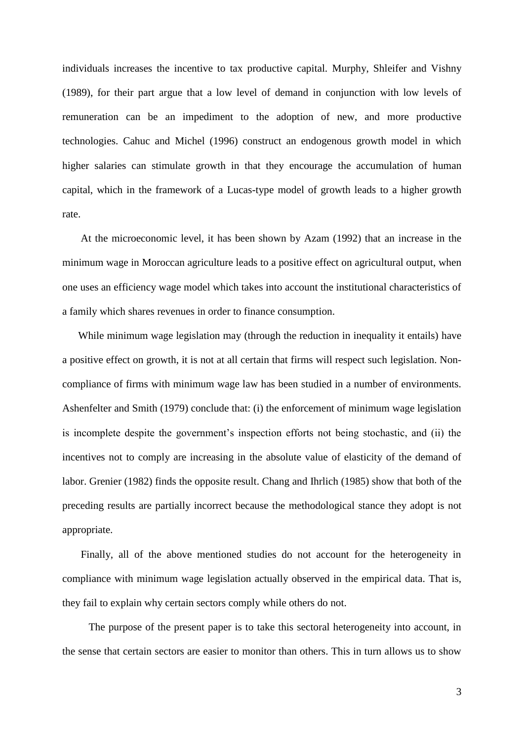individuals increases the incentive to tax productive capital. Murphy, Shleifer and Vishny (1989), for their part argue that a low level of demand in conjunction with low levels of remuneration can be an impediment to the adoption of new, and more productive technologies. Cahuc and Michel (1996) construct an endogenous growth model in which higher salaries can stimulate growth in that they encourage the accumulation of human capital, which in the framework of a Lucas-type model of growth leads to a higher growth rate.

 At the microeconomic level, it has been shown by Azam (1992) that an increase in the minimum wage in Moroccan agriculture leads to a positive effect on agricultural output, when one uses an efficiency wage model which takes into account the institutional characteristics of a family which shares revenues in order to finance consumption.

 While minimum wage legislation may (through the reduction in inequality it entails) have a positive effect on growth, it is not at all certain that firms will respect such legislation. Noncompliance of firms with minimum wage law has been studied in a number of environments. Ashenfelter and Smith (1979) conclude that: (i) the enforcement of minimum wage legislation is incomplete despite the government's inspection efforts not being stochastic, and (ii) the incentives not to comply are increasing in the absolute value of elasticity of the demand of labor. Grenier (1982) finds the opposite result. Chang and Ihrlich (1985) show that both of the preceding results are partially incorrect because the methodological stance they adopt is not appropriate.

 Finally, all of the above mentioned studies do not account for the heterogeneity in compliance with minimum wage legislation actually observed in the empirical data. That is, they fail to explain why certain sectors comply while others do not.

 The purpose of the present paper is to take this sectoral heterogeneity into account, in the sense that certain sectors are easier to monitor than others. This in turn allows us to show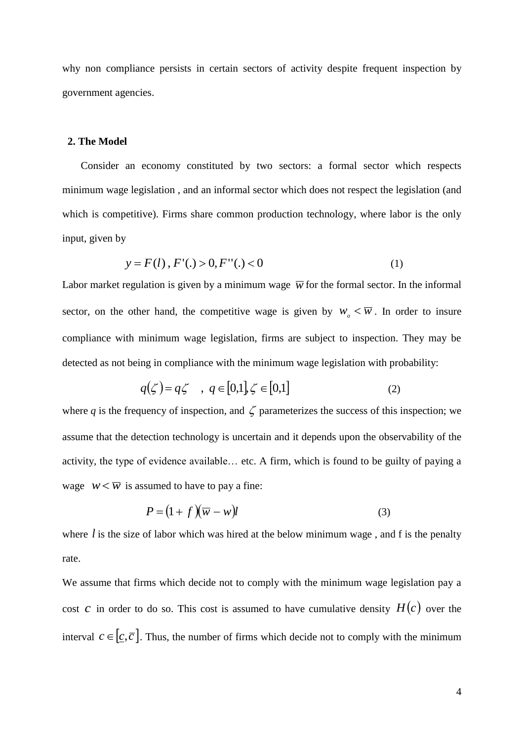why non compliance persists in certain sectors of activity despite frequent inspection by government agencies.

#### **2. The Model**

 Consider an economy constituted by two sectors: a formal sector which respects minimum wage legislation , and an informal sector which does not respect the legislation (and which is competitive). Firms share common production technology, where labor is the only input, given by

$$
y = F(l), F'(.) > 0, F''(.) < 0
$$
 (1)

Labor market regulation is given by a minimum wage  $\bar{w}$  for the formal sector. In the informal sector, on the other hand, the competitive wage is given by  $w_0 < \overline{w}$ . In order to insure compliance with minimum wage legislation, firms are subject to inspection. They may be detected as not being in compliance with the minimum wage legislation with probability:

$$
q(\zeta) = q\zeta \quad , \ q \in [0,1], \zeta \in [0,1] \tag{2}
$$

where q is the frequency of inspection, and  $\zeta$  parameterizes the success of this inspection; we assume that the detection technology is uncertain and it depends upon the observability of the activity, the type of evidence available… etc. A firm, which is found to be guilty of paying a wage  $w < \overline{w}$  is assumed to have to pay a fine:

$$
P = (1 + f)(\overline{w} - w)l
$$
 (3)

where  $l$  is the size of labor which was hired at the below minimum wage, and  $f$  is the penalty rate.

We assume that firms which decide not to comply with the minimum wage legislation pay a cost c in order to do so. This cost is assumed to have cumulative density  $H(c)$  over the interval  $c \in [c, \overline{c}]$ . Thus, the number of firms which decide not to comply with the minimum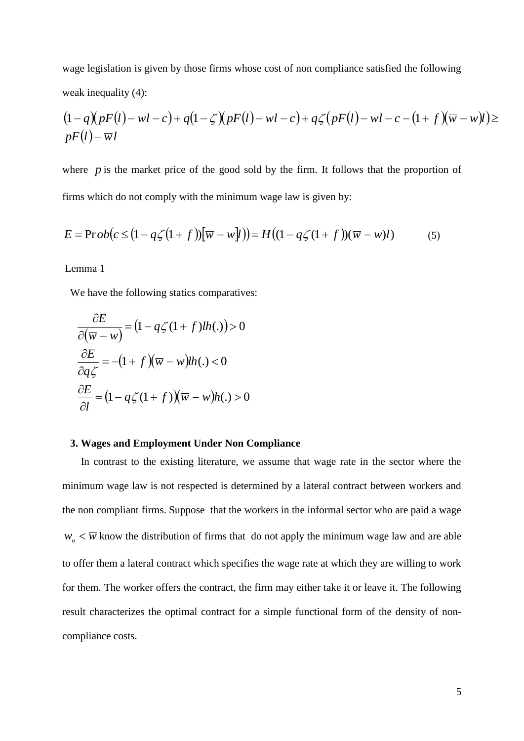wage legislation is given by those firms whose cost of non compliance satisfied the following weak inequality (4):

$$
(1-q)(pF(l)-wl-c)+q(1-\zeta)(pF(l)-wl-c)+q\zeta(pF(l)-wl-c-(1+f)(\overline{w}-wl))\geq pF(l)-\overline{wl}
$$

where  $p$  is the market price of the good sold by the firm. It follows that the proportion of firms which do not comply with the minimum wage law is given by:

$$
E = \text{Prob}(c \leq (1 - q\zeta(1 + f))[\overline{w} - w\overline{y}]) = H((1 - q\zeta(1 + f))(\overline{w} - w\overline{y}))
$$
(5)

Lemma 1

We have the following statics comparatives:

$$
\frac{\partial E}{\partial(\overline{w} - w)} = (1 - q\zeta(1 + f)lh(.)) > 0
$$

$$
\frac{\partial E}{\partial q\zeta} = -(1 + f)(\overline{w} - w)lh(.) < 0
$$

$$
\frac{\partial E}{\partial l} = (1 - q\zeta(1 + f))(\overline{w} - w)h(.) > 0
$$

#### **3. Wages and Employment Under Non Compliance**

 In contrast to the existing literature, we assume that wage rate in the sector where the minimum wage law is not respected is determined by a lateral contract between workers and the non compliant firms. Suppose that the workers in the informal sector who are paid a wage  $w_{\rho}$  <  $\overline{w}$  know the distribution of firms that do not apply the minimum wage law and are able to offer them a lateral contract which specifies the wage rate at which they are willing to work for them. The worker offers the contract, the firm may either take it or leave it. The following result characterizes the optimal contract for a simple functional form of the density of noncompliance costs.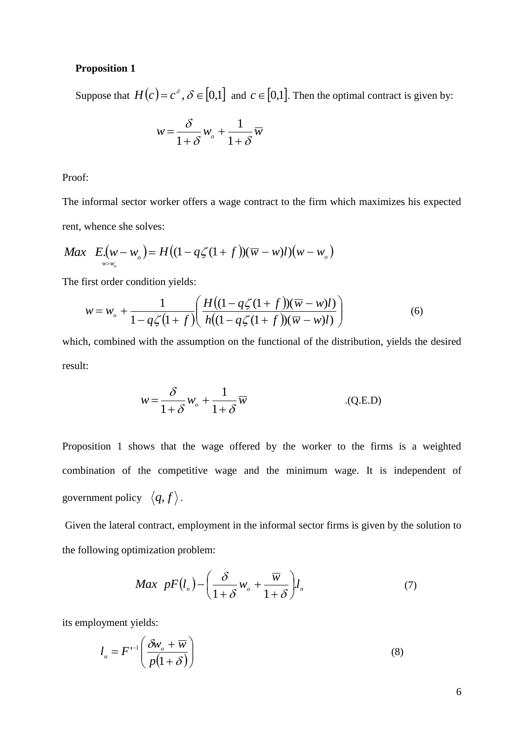#### **Proposition 1**

Suppose that  $H(c) = c^{\delta}$ ,  $\delta \in [0,1]$  and  $c \in [0,1]$ . Then the optimal contract is given by:

$$
w = \frac{\delta}{1+\delta}w_o + \frac{1}{1+\delta}\overline{w}
$$

Proof:

The informal sector worker offers a wage contract to the firm which maximizes his expected rent, whence she solves:

$$
Max E.(w - wo) = H((1 - q\zeta(1 + f))(\overline{w} - w)l)(w - wo)
$$

The first order condition yields:

$$
w = w_o + \frac{1}{1 - q\zeta(1+f)} \left( \frac{H((1 - q\zeta(1+f))(\overline{w} - w)l)}{h((1 - q\zeta(1+f))(\overline{w} - w)l)} \right)
$$
(6)

which, combined with the assumption on the functional of the distribution, yields the desired result:

$$
w = \frac{\delta}{1 + \delta} w_o + \frac{1}{1 + \delta} \overline{w}
$$
 (Q.E.D)

Proposition 1 shows that the wage offered by the worker to the firms is a weighted combination of the competitive wage and the minimum wage. It is independent of government policy  $\langle q, f \rangle$ .

Given the lateral contract, employment in the informal sector firms is given by the solution to the following optimization problem:

$$
Max \ \ pF(l_n) - \left(\frac{\delta}{1+\delta}w_o + \frac{\overline{w}}{1+\delta}\right)l_n \tag{7}
$$

its employment yields:

$$
l_n = F^{-1} \left( \frac{\delta w_o + \overline{w}}{p(1+\delta)} \right)
$$
 (8)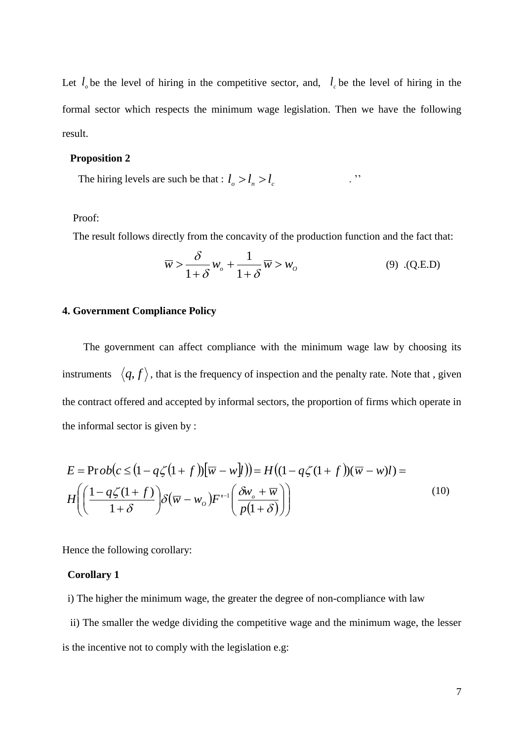Let  $l<sub>o</sub>$  be the level of hiring in the competitive sector, and,  $l<sub>c</sub>$  be the level of hiring in the formal sector which respects the minimum wage legislation. Then we have the following result.

#### **Proposition 2**

The hiring levels are such be that :  $l_o > l_n > l_c$  ...

#### Proof:

The result follows directly from the concavity of the production function and the fact that:

$$
\overline{w} > \frac{\delta}{1+\delta} w_o + \frac{1}{1+\delta} \overline{w} > w_o \tag{9} \quad (9) \quad \text{(Q.E.D)}
$$

#### **4. Government Compliance Policy**

 The government can affect compliance with the minimum wage law by choosing its instruments  $\langle q, f \rangle$ , that is the frequency of inspection and the penalty rate. Note that, given the contract offered and accepted by informal sectors, the proportion of firms which operate in the informal sector is given by :

$$
E = \text{Prob}(c \le (1 - q\zeta(1 + f))[\overline{w} - w]l)) = H((1 - q\zeta(1 + f))(\overline{w} - w)l) =
$$
  

$$
H\left(\left(\frac{1 - q\zeta(1 + f)}{1 + \delta}\right)\delta(\overline{w} - w_o)F^{-1}\left(\frac{\delta w_o + \overline{w}}{p(1 + \delta)}\right)\right)
$$
(10)

Hence the following corollary:

#### **Corollary 1**

i) The higher the minimum wage, the greater the degree of non-compliance with law

 ii) The smaller the wedge dividing the competitive wage and the minimum wage, the lesser is the incentive not to comply with the legislation e.g: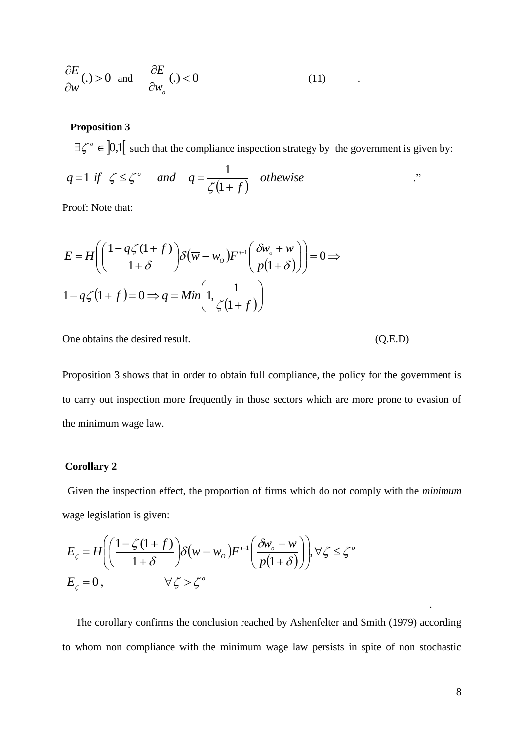$$
\frac{\partial E}{\partial \overline{w}}(.) > 0 \quad \text{and} \quad \frac{\partial E}{\partial w_o}(.) < 0 \tag{11}
$$

### **Proposition 3**

 $\exists \zeta^{\circ} \in [0,1]$  such that the compliance inspection strategy by the government is given by:

$$
q=1 \text{ if } \zeta \leq \zeta^{\circ} \quad \text{ and } \quad q=\frac{1}{\zeta(1+f)} \quad \text{otherwise}
$$

Proof: Note that:

$$
E = H\left(\left(\frac{1 - q\zeta(1+f)}{1+\delta}\right)\delta\left(\overline{w} - w_o\right)F^{-1}\left(\frac{\delta w_o + \overline{w}}{p(1+\delta)}\right)\right) = 0 \implies
$$
  

$$
1 - q\zeta(1+f) = 0 \implies q = Min\left(1, \frac{1}{\zeta(1+f)}\right)
$$

One obtains the desired result. (Q.E.D)

Proposition 3 shows that in order to obtain full compliance, the policy for the government is to carry out inspection more frequently in those sectors which are more prone to evasion of the minimum wage law.

#### **Corollary 2**

 Given the inspection effect, the proportion of firms which do not comply with the *minimum* wage legislation is given:

$$
E_{\zeta} = H\left(\left(\frac{1-\zeta(1+f)}{1+\delta}\right)\delta\left(\overline{w} - w_o\right)F^{-1}\left(\frac{\delta w_o + \overline{w}}{p(1+\delta)}\right)\right), \forall \zeta \le \zeta^o
$$
  

$$
E_{\zeta} = 0, \qquad \forall \zeta > \zeta^o
$$

 The corollary confirms the conclusion reached by Ashenfelter and Smith (1979) according to whom non compliance with the minimum wage law persists in spite of non stochastic

.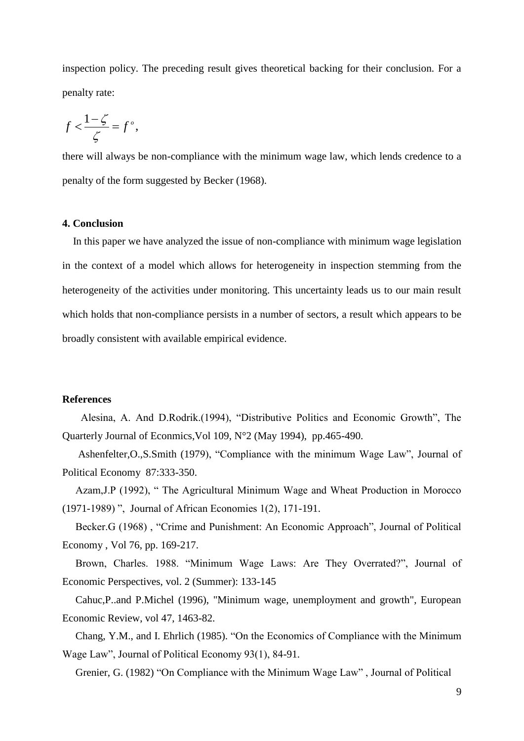inspection policy. The preceding result gives theoretical backing for their conclusion. For a penalty rate:

$$
f < \frac{1-\zeta}{\zeta} = f^{\circ},
$$

there will always be non-compliance with the minimum wage law, which lends credence to a penalty of the form suggested by Becker (1968).

#### **4. Conclusion**

 In this paper we have analyzed the issue of non-compliance with minimum wage legislation in the context of a model which allows for heterogeneity in inspection stemming from the heterogeneity of the activities under monitoring. This uncertainty leads us to our main result which holds that non-compliance persists in a number of sectors, a result which appears to be broadly consistent with available empirical evidence.

#### **References**

 Alesina, A. And D.Rodrik.(1994), "Distributive Politics and Economic Growth", The Quarterly Journal of Econmics,Vol 109, N°2 (May 1994), pp.465-490.

 Ashenfelter,O.,S.Smith (1979), "Compliance with the minimum Wage Law", Journal of Political Economy 87:333-350.

 Azam,J.P (1992), " The Agricultural Minimum Wage and Wheat Production in Morocco (1971-1989) ", Journal of African Economies 1(2), 171-191.

 Becker.G (1968) , "Crime and Punishment: An Economic Approach", Journal of Political Economy , Vol 76, pp. 169-217.

 Brown, Charles. 1988. "Minimum Wage Laws: Are They Overrated?", Journal of Economic Perspectives, vol. 2 (Summer): 133-145

 Cahuc,P..and P.Michel (1996), "Minimum wage, unemployment and growth", European Economic Review, vol 47, 1463-82.

 Chang, Y.M., and I. Ehrlich (1985). "On the Economics of Compliance with the Minimum Wage Law", Journal of Political Economy 93(1), 84-91.

Grenier, G. (1982) "On Compliance with the Minimum Wage Law" , Journal of Political